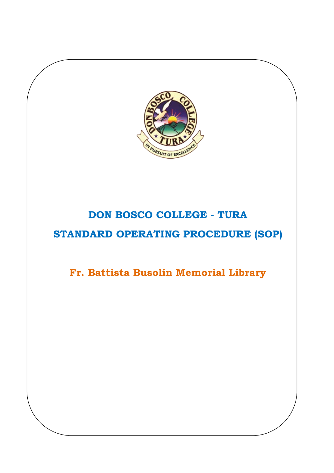

# **DON BOSCO COLLEGE - TURA STANDARD OPERATING PROCEDURE (SOP)**

**Fr. Battista Busolin Memorial Library**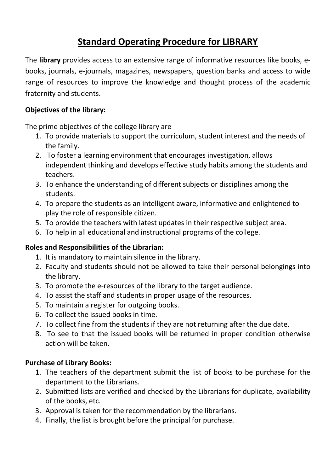## **Standard Operating Procedure for LIBRARY**

The **library** provides access to an extensive range of informative resources like books, ebooks, journals, e-journals, magazines, newspapers, question banks and access to wide range of resources to improve the knowledge and thought process of the academic fraternity and students.

## **Objectives of the library:**

The prime objectives of the college library are

- 1. To provide materials to support the curriculum, student interest and the needs of the family.
- 2. To foster a learning environment that encourages investigation, allows independent thinking and develops effective study habits among the students and teachers.
- 3. To enhance the understanding of different subjects or disciplines among the students.
- 4. To prepare the students as an intelligent aware, informative and enlightened to play the role of responsible citizen.
- 5. To provide the teachers with latest updates in their respective subject area.
- 6. To help in all educational and instructional programs of the college.

### **Roles and Responsibilities of the Librarian:**

- 1. It is mandatory to maintain silence in the library.
- 2. Faculty and students should not be allowed to take their personal belongings into the library.
- 3. To promote the e-resources of the library to the target audience.
- 4. To assist the staff and students in proper usage of the resources.
- 5. To maintain a register for outgoing books.
- 6. To collect the issued books in time.
- 7. To collect fine from the students if they are not returning after the due date.
- 8. To see to that the issued books will be returned in proper condition otherwise action will be taken.

## **Purchase of Library Books:**

- 1. The teachers of the department submit the list of books to be purchase for the department to the Librarians.
- 2. Submitted lists are verified and checked by the Librarians for duplicate, availability of the books, etc.
- 3. Approval is taken for the recommendation by the librarians.
- 4. Finally, the list is brought before the principal for purchase.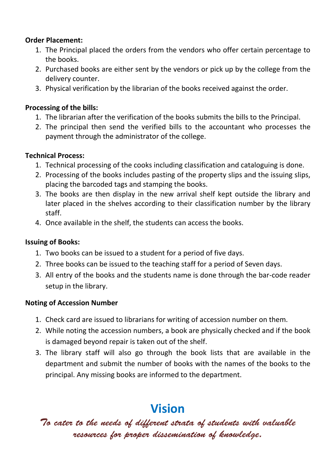### **Order Placement:**

- 1. The Principal placed the orders from the vendors who offer certain percentage to the books.
- 2. Purchased books are either sent by the vendors or pick up by the college from the delivery counter.
- 3. Physical verification by the librarian of the books received against the order.

## **Processing of the bills:**

- 1. The librarian after the verification of the books submits the bills to the Principal.
- 2. The principal then send the verified bills to the accountant who processes the payment through the administrator of the college.

### **Technical Process:**

- 1. Technical processing of the cooks including classification and cataloguing is done.
- 2. Processing of the books includes pasting of the property slips and the issuing slips, placing the barcoded tags and stamping the books.
- 3. The books are then display in the new arrival shelf kept outside the library and later placed in the shelves according to their classification number by the library staff.
- 4. Once available in the shelf, the students can access the books.

### **Issuing of Books:**

- 1. Two books can be issued to a student for a period of five days.
- 2. Three books can be issued to the teaching staff for a period of Seven days.
- 3. All entry of the books and the students name is done through the bar-code reader setup in the library.

### **Noting of Accession Number**

- 1. Check card are issued to librarians for writing of accession number on them.
- 2. While noting the accession numbers, a book are physically checked and if the book is damaged beyond repair is taken out of the shelf.
- 3. The library staff will also go through the book lists that are available in the department and submit the number of books with the names of the books to the principal. Any missing books are informed to the department.

# **Vision**

*To cater to the needs of different strata of students with valuable resources for proper dissemination of knowledge.*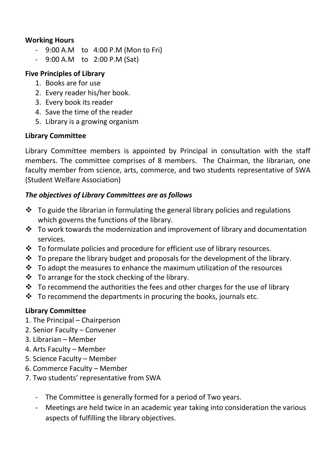## **Working Hours**

- 9:00 A.M to 4:00 P.M (Mon to Fri)
- 9:00 A.M to 2:00 P.M (Sat)

## **Five Principles of Library**

- 1. Books are for use
- 2. Every reader his/her book.
- 3. Every book its reader
- 4. Save the time of the reader
- 5. Library is a growing organism

## **Library Committee**

Library Committee members is appointed by Principal in consultation with the staff members. The committee comprises of 8 members. The Chairman, the librarian, one faculty member from science, arts, commerce, and two students representative of SWA (Student Welfare Association)

## *The objectives of Library Committees are as follows*

- $\cdot$  To guide the librarian in formulating the general library policies and regulations which governs the functions of the library.
- $\cdot \cdot$  To work towards the modernization and improvement of library and documentation services.
- $\cdot \cdot$  To formulate policies and procedure for efficient use of library resources.
- $\cdot \cdot$  To prepare the library budget and proposals for the development of the library.
- $\cdot \cdot$  To adopt the measures to enhance the maximum utilization of the resources
- $\cdot \cdot$  To arrange for the stock checking of the library.
- $\cdot$  To recommend the authorities the fees and other charges for the use of library
- $\cdot \cdot$  To recommend the departments in procuring the books, journals etc.

## **Library Committee**

- 1. The Principal Chairperson
- 2. Senior Faculty Convener
- 3. Librarian Member
- 4. Arts Faculty Member
- 5. Science Faculty Member
- 6. Commerce Faculty Member
- 7. Two students' representative from SWA
	- The Committee is generally formed for a period of Two years.
	- Meetings are held twice in an academic year taking into consideration the various aspects of fulfilling the library objectives.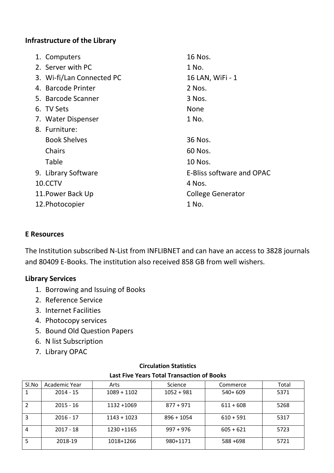#### **Infrastructure of the Library**

|                   | 1. Computers              | 16 Nos.                          |  |
|-------------------|---------------------------|----------------------------------|--|
|                   | 2. Server with PC         | 1 No.                            |  |
|                   | 3. Wi-fi/Lan Connected PC | 16 LAN, WiFi - 1                 |  |
|                   | 4. Barcode Printer        | 2 Nos.                           |  |
|                   | 5. Barcode Scanner        | 3 Nos.                           |  |
|                   | 6. TV Sets                | <b>None</b>                      |  |
|                   | 7. Water Dispenser        | 1 No.                            |  |
|                   | 8. Furniture:             |                                  |  |
|                   | <b>Book Shelves</b>       | 36 Nos.                          |  |
|                   | Chairs                    | 60 Nos.                          |  |
|                   | Table                     | 10 Nos.                          |  |
|                   | 9. Library Software       | <b>E-Bliss software and OPAC</b> |  |
| 10.CCTV           |                           | 4 Nos.                           |  |
| 11. Power Back Up |                           | <b>College Generator</b>         |  |
| 12. Photocopier   |                           | 1 No.                            |  |

#### **E Resources**

The Institution subscribed N-List from INFLIBNET and can have an access to 3828 journals and 80409 E-Books. The institution also received 858 GB from well wishers.

#### **Library Services**

- 1. Borrowing and Issuing of Books
- 2. Reference Service
- 3. Internet Facilities
- 4. Photocopy services
- 5. Bound Old Question Papers
- 6. N list Subscription
- 7. Library OPAC

| Sl.No | Academic Year | Arts          | Science      | Commerce    | Total |  |  |
|-------|---------------|---------------|--------------|-------------|-------|--|--|
|       | $2014 - 15$   | $1089 + 1102$ | $1052 + 981$ | $540+609$   | 5371  |  |  |
|       | $2015 - 16$   | 1132+1069     | $877 + 971$  | $611 + 608$ | 5268  |  |  |
| 3     | $2016 - 17$   | $1143 + 1023$ | $896 + 1054$ | $610 + 591$ | 5317  |  |  |
| 4     | $2017 - 18$   | 1230 + 1165   | $997 + 976$  | $605 + 621$ | 5723  |  |  |
|       | 2018-19       | 1018+1266     | 980+1171     | 588+698     | 5721  |  |  |

#### **Circulation Statistics Last Five Years Total Transaction of Books**